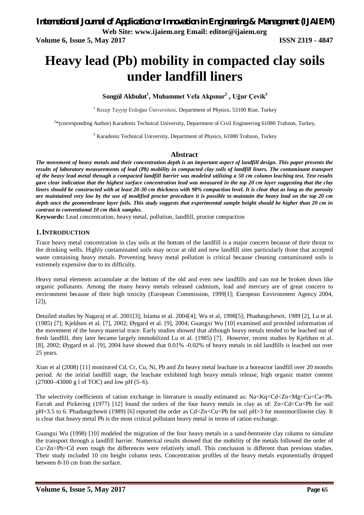**Volume 6, Issue 5, May 2017 ISSN 2319 - 4847** 

# **Heavy lead (Pb) mobility in compacted clay soils under landfill liners**

**Songül Akbulut<sup>1</sup> , Muhammet Vefa Akpınar<sup>2</sup> , Uğur Çevik<sup>3</sup>**

<sup>1</sup> Recep Tayyip Erdoğan Üniversitesi, Department of Physics, 53100 Rize, Turkey

<sup>2</sup>\*(corresponding Author) Karadeniz Technical University, Department of Civil Engineering 61080 Trabzon, Turkey,

<sup>3</sup> Karadeniz Technical University, Department of Physics, 61080 Trabzon, Turkey

### **Abstract**

*The movement of heavy metals and their concentration depth is an important aspect of landfill design. This paper presents the results of laboratory measurements of lead (Pb) mobility in compacted clay soils of landfill liners. The contaminant transport of the heavy lead metal through a compacted landfill barrier was modeled utilizing a 50 cm column leaching test. Test results gave clear indication that the highest surface concentration lead was measured in the top 20 cm layer suggesting that the clay liners should be constructed with at least 20-30 cm thickness with 98% compaction level. It is clear that as long as the porosity are maintained very low by the use of modified proctor procedure it is possible to maintain the heavy lead on the top 20 cm depth once the geomembrane layer fails. This study suggests that experimental sample height should be higher than 20 cm in contrast to conventional 10 cm thick samples.* 

**Keywords:** Lead concentration, heavy metal, pollution, landfill, proctor compaction

### **1.INTRODUCTION**

Trace heavy metal concentration in clay soils at the bottom of the landfill is a major concern because of their threat to the drinking wells. Highly contaminated soils may occur at old and new landfill sites particularly those that accepted waste containing heavy metals. Preventing heavy metal pollution is critical because cleaning contaminated soils is extremely expensive due to its difficulty.

Heavy metal elements accumulate at the bottom of the old and even new landfills and can not be broken down like organic pollutants. Among the many heavy metals released cadmium, lead and mercury are of great concern to environment because of their high toxicity (European Commission, 1999[1]; European Environment Agency 2004, [2]),

Detailed studies by Nagaraj et al. 2001[3]; Islama et al. 2004[4]; Wu et al, 1998[5]; Phadungchewit, 1989 [2], Lu et al. (1985) [7]; Kjeldsen et al. [7], 2002; Øygard et al. [9], 2004; Guangxi Wu [10] examined and provided information of the movement of the heavy material trace. Early studies showed that although heavy metals tended to be leached out of fresh landfill, they later became largely immobilized Lu et al. (1985) [7]. However, recent studies by Kjeldsen et al. [8], 2002; Øygard et al. [9], 2004 have showed that 0.01% -0.02% of heavy metals in old landfills is leached out over 25 years.

Xian et al (2008) [11] monitored Cd, Cr, Cu, Ni, Pb and Zn heavy metal leachate in a boreactor landfill over 20 months period. At the initial landfill stage, the leachate exhibited high heavy metals release, high organic matter content  $(27000-43000 \text{ g} 1 \text{ of TOC})$  and low pH  $(5-6)$ .

The selectivity coefficients of cation exchange in literature is usually estimated as: Na<Kq<Cd<Zn<Mg<Cu<Ca<Pb. Farrah and Pickering (1977) [12] found the orders of the four heavy metals in clay as of: Zn<Cd<Cu<Pb for soil pH=3.5 to 6. Phadungchewit (1989) [6] reported the order as Cd<Zn<Cu<Pb for soil pH>3 for montmorillonite clay. It is clear that heavy metal Pb is the most critical pollutant heavy metal in terms of cation exchange.

Guangxi Wu (1998) [10] modeled the migration of the four heavy metals in a sand-bentonite clay column to simulate the transport through a landfill barrier. Numerical results showed that the mobility of the metals followed the order of Cu>Zn>Pb>Cd even tough the differences were relatively small. This conclusion is different than previous studies. Their study included 10 cm height column tests. Concentration profiles of the heavy metals exponentially dropped between 8-10 cm from the surface.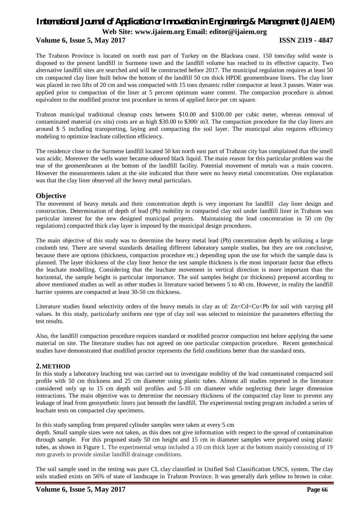### **Volume 6, Issue 5, May 2017 ISSN 2319 - 4847**

The Trabzon Province is located on north east part of Turkey on the Blacksea coast. 150 tons/day solid waste is disposed to the present landfill in Surmene town and the landfill volume has reached to its effective capacity. Two alternative landfill sites are searched and will be constructed before 2017. The municipal regulation requires at least 50 cm compacted clay liner built below the bottom of the landfill 50 cm thick HPDE geomembrane liners. The clay liner was placed in two lifts of 20 cm and was compacted with 15 tons dynamic roller compactor at least 3 passes. Water was applied prior to compaction of the liner at 5 percent optimum water content. The compaction procedure is almost equivalent to the modified proctor test procedure in terms of applied force per cm square.

Trabzon municipal traditional cleanup costs between \$10.00 and \$100.00 per cubic meter, whereas removal of contaminated material (*ex situ*) costs are as high \$30.00 to \$300/ m3. The compaction procedure for the clay liners are around \$ 5 including transporting, laying and compacting the soil layer. The municipal also requires efficiency modeling to optimize leachate collection efficiency.

The residence close to the Surmene landfill located 50 km north east part of Trabzon city has complained that the smell was acidic. Moreover the wells water became odoured black liquid. The main reason for this particular problem was the tear of the geomembranes at the bottom of the landfill facility. Potential movement of metals was a main concern. However the measurements taken at the site indicated that there were no heavy metal concentration. One explanation was that the clay liner observed all the heavy metal particulars.

#### **Objective**

The movement of heavy metals and their concentration depth is very important for landfill clay liner design and construction. Determination of depth of lead (Pb) mobility in compacted clay soil under landfill liner in Trabzon was particular interest for the new designed municipal projects. Maintaining the lead concentration in 50 cm (by regulations) compacted thick clay layer is imposed by the municipal design procedures.

The main objective of this study was to determine the heavy metal lead (Pb) concentration depth by utilizing a large coulomb test. There are several standards detailing different laboratory sample studies, but they are not conclusive, because there are options (thickness, compaction procedure etc.) depending upon the use for which the sample data is planned. The layer thickness of the clay liner hence the test sample thickness is the most important factor that effects the leachate modelling. Considering that the leachate movement in vertical direction is more important than the horizontal, the sample height is particular importance. The soil samples height (or thickness) prepared according to above mentioned studies as well as other studies in literature varied between 5 to 40 cm. However, in reality the landfill barrier systems are compacted at least 30-50 cm thickness.

Literature studies found selectivity orders of the heavy metals in clay as of: Zn<Cd<Cu<Pb for soil with varying pH values. In this study, particularly uniform one type of clay soil was selected to minimize the parameters effecting the test results.

Also, the landfill compaction procedure requires standard or modified proctor compaction test before applying the same material on site. The literature studies has not agreed on one particular compaction procedure. Recent geotechnical studies have demonstrated that modified proctor represents the field conditions better than the standard tests.

#### **2.METHOD**

In this study a laboratory leaching test was carried out to investigate mobility of the lead contaminated compacted soil profile with 50 cm thickness and 25 cm diameter using plastic tubes. Almost all studies reported in the literature considered only up to 15 cm depth soil profiles and 5-10 cm diameter while neglecting their larger dimension interactions. The main objective was to determine the necessary thickness of the compacted clay liner to prevent any leakage of lead from geosynthetic liners just beneath the landfill. The experimental testing program included a series of leachate tests on compacted clay specimens.

In this study sampling from prepared cylinder samples were taken at every 5 cm

depth. Small sample sizes were not taken, as this does not give information with respect to the spread of contamination through sample. For this proposed study 50 cm height and 15 cm in diameter samples were prepared using plastic tubes, as shown in Figure 1. The experimental setup included a 10 cm thick layer at the bottom mainly consisting of 19 mm gravels to provide similar landfill drainage conditions.

The soil sample used in the testing was pure CL clay classified in Unified Soil Classification USCS, system. The clay soils studied exists on 56% of state of landscape in Trabzon Province. It was generally dark yellow to brown in color.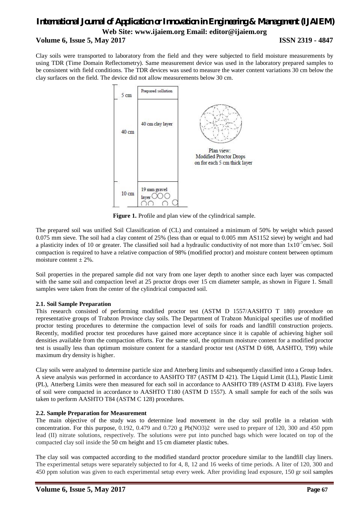# *International Journal of Application or Innovation in Engineering & Management (IJAIEM)* **Web Site: www.ijaiem.org Email: editor@ijaiem.org Volume 6, Issue 5, May 2017 ISSN 2319 - 4847**

Clay soils were transported to laboratory from the field and they were subjected to field moisture measurements by using TDR (Time Domain Reflectometry). Same measurement device was used in the laboratory prepared samples to be consistent with field conditions. The TDR devices was used to measure the water content variations 30 cm below the clay surfaces on the field. The device did not allow measurements below 30 cm.



**Figure 1.** Profile and plan view of the cylindrical sample.

The prepared soil was unified Soil Classification of (CL) and contained a minimum of 50% by weight which passed 0.075 mm sieve. The soil had a clay content of 25% (less than or equal to 0.005 mm AS1152 sieve) by weight and had a plasticity index of 10 or greater. The classified soil had a hydraulic conductivity of not more than  $1x10<sup>-7</sup>$ cm/sec. Soil compaction is required to have a relative compaction of 98% (modified proctor) and moisture content between optimum moisture content  $\pm$  2%.

Soil properties in the prepared sample did not vary from one layer depth to another since each layer was compacted with the same soil and compaction level at 25 proctor drops over 15 cm diameter sample, as shown in Figure 1. Small samples were taken from the center of the cylindrical compacted soil.

#### **2.1. Soil Sample Preparation**

This research consisted of performing modified proctor test (ASTM D 1557/AASHTO T 180) procedure on representative groups of Trabzon Province clay soils. The Department of Trabzon Municipal specifies use of modified proctor testing procedures to determine the compaction level of soils for roads and landfill construction projects. Recently, modified proctor test procedures have gained more acceptance since it is capable of achieving higher soil densities available from the compaction efforts. For the same soil, the optimum moisture content for a modified proctor test is usually less than optimum moisture content for a standard proctor test (ASTM D 698, AASHTO, T99) while maximum dry density is higher.

Clay soils were analyzed to determine particle size and Atterberg limits and subsequently classified into a Group Index. A sieve analysis was performed in accordance to AASHTO T87 (ASTM D 421). The Liquid Limit (LL), Plastic Limit (PL), Atterberg Limits were then measured for each soil in accordance to AASHTO T89 (ASTM D 4318). Five layers of soil were compacted in accordance to AASHTO T180 (ASTM D 1557). A small sample for each of the soils was taken to perform AASHTO T84 (ASTM C 128) procedures.

#### **2.2. Sample Preparation for Measurement**

The main objective of the study was to determine lead movement in the clay soil profile in a relation with concentration. For this purpose, 0.192, 0.479 and 0.720 g Pb(NO3)2 were used to prepare of 120, 300 and 450 ppm lead (II) nitrate solutions, respectively. The solutions were put into punched bags which were located on top of the compacted clay soil inside the 50 cm height and 15 cm diameter plastic tubes.

The clay soil was compacted according to the modified standard proctor procedure similar to the landfill clay liners. The experimental setups were separately subjected to for 4, 8, 12 and 16 weeks of time periods. A liter of 120, 300 and 450 ppm solution was given to each experimental setup every week. After providing lead exposure, 150 gr soil samples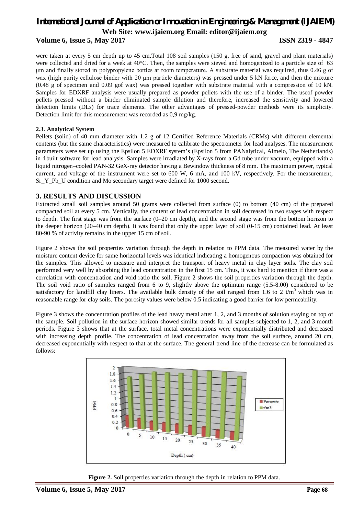### **Volume 6, Issue 5, May 2017 ISSN 2319 - 4847**

were taken at every 5 cm depth up to 45 cm.Total 108 soil samples (150 g, free of sand, gravel and plant materials) were collected and dried for a week at 40°C. Then, the samples were sieved and homogenized to a particle size of 63 μm and finally stored in polypropylene bottles at room temperature. A substrate material was required, thus 0.46 g of wax (high purity cellulose binder with 20 μm particle diameters) was pressed under 5 kN force, and then the mixture (0.48 g of specimen and 0.09 gof wax) was pressed together with substrate material with a compression of 10 kN. Samples for EDXRF analysis were usually prepared as powder pellets with the use of a binder. The useof powder pellets pressed without a binder eliminated sample dilution and therefore, increased the sensitivity and lowered detection limits (DLs) for trace elements. The other advantages of pressed-powder methods were its simplicity. Detection limit for this measurement was recorded as 0,9 mg/kg.

#### **2.3. Analytical System**

Pellets (solid) of 40 mm diameter with 1.2 g of 12 Certified Reference Materials (CRMs) with different elemental contents (but the same characteristics) were measured to calibrate the spectrometer for lead analyses. The measurement parameters were set up using the Epsilon 5 EDXRF system's (Epsilon 5 from PANalytical, Almelo, The Netherlands) in 1built software for lead analysis. Samples were irradiated by X-rays from a Gd tube under vacuum, equipped with a liquid nitrogen–cooled PAN-32 GeX-ray detector having a Bewindow thickness of 8 mm. The maximum power, typical current, and voltage of the instrument were set to 600 W, 6 mA, and 100 kV, respectively. For the measurement, Sr\_Y\_Pb\_U condition and Mo secondary target were defined for 1000 second.

### **3. RESULTS AND DISCUSSION**

Extracted small soil samples around 50 grams were collected from surface (0) to bottom (40 cm) of the prepared compacted soil at every 5 cm. Vertically, the content of lead concentration in soil decreased in two stages with respect to depth. The first stage was from the surface (0–20 cm depth), and the second stage was from the bottom horizon to the deeper horizon (20–40 cm depth). It was found that only the upper layer of soil (0-15 cm) contained lead. At least 80-90 % of activity remains in the upper 15 cm of soil.

Figure 2 shows the soil properties variation through the depth in relation to PPM data. The measured water by the moisture content device for same horizontal levels was identical indicating a homogenous compaction was obtained for the samples. This allowed to measure and interpret the transport of heavy metal in clay layer soils. The clay soil performed very well by absorbing the lead concentration in the first 15 cm. Thus, it was hard to mention if there was a correlation with concentration and void ratio the soil. Figure 2 shows the soil properties variation through the depth. The soil void ratio of samples ranged from 6 to 9, slightly above the optimum range (5.5-8.00) considered to be satisfactory for landfill clay liners. The available bulk density of the soil ranged from 1.6 to 2 t/m<sup>3</sup> which was in reasonable range for clay soils. The porosity values were below 0.5 indicating a good barrier for low permeability.

Figure 3 shows the concentration profiles of the lead heavy metal after 1, 2, and 3 months of solution staying on top of the sample. Soil pollution in the surface horizon showed similar trends for all samples subjected to 1, 2, and 3 month periods. Figure 3 shows that at the surface, total metal concentrations were exponentially distributed and decreased with increasing depth profile. The concentration of lead concentration away from the soil surface, around 20 cm, decreased exponentially with respect to that at the surface. The general trend line of the decrease can be formulated as follows:



**Figure 2.** Soil properties variation through the depth in relation to PPM data.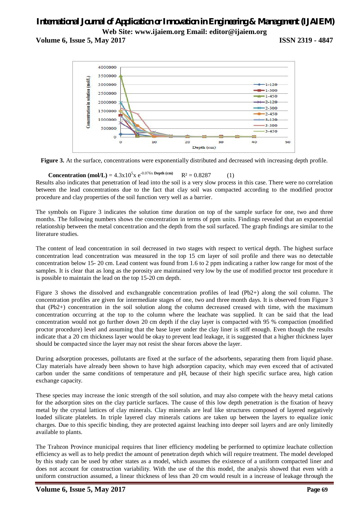**Volume 6, Issue 5, May 2017 ISSN 2319 - 4847** 



**Figure 3.** At the surface, concentrations were exponentially distributed and decreased with increasing depth profile.

**Concentration (mol/L)** =  $4.3 \times 10^5 \times e^{0.076 \times \text{Depth (cm)}}$   $R^2 = 0.8287$  (1)

Results also indicates that penetration of lead into the soil is a very slow process in this case. There were no correlation between the lead concentrations due to the fact that clay soil was compacted according to the modified proctor procedure and clay properties of the soil function very well as a barrier.

The symbols on Figure 3 indicates the solution time duration on top of the sample surface for one, two and three months. The following numbers shows the concentration in terms of ppm units. Findings revealed that an exponential relationship between the metal concentration and the depth from the soil surfaced. The graph findings are similar to the literature studies.

The content of lead concentration in soil decreased in two stages with respect to vertical depth. The highest surface concentration lead concentration was measured in the top 15 cm layer of soil profile and there was no detectable concentration below 15- 20 cm. Lead content was found from 1.6 to 2 ppm indicating a rather low range for most of the samples. It is clear that as long as the porosity are maintained very low by the use of modified proctor test procedure it is possible to maintain the lead on the top 15-20 cm depth.

Figure 3 shows the dissolved and exchangeable concentration profiles of lead (Pb2+) along the soil column. The concentration profiles are given for intermediate stages of one, two and three month days. It is observed from Figure 3 that (Pb2+) concentration in the soil solution along the column decreased creased with time, with the maximum concentration occurring at the top to the column where the leachate was supplied. It can be said that the lead concentration would not go further down 20 cm depth if the clay layer is compacted with 95 % compaction (modified proctor procedure) level and assuming that the base layer under the clay liner is stiff enough. Even though the results indicate that a 20 cm thickness layer would be okay to prevent lead leakage, it is suggested that a higher thickness layer should be compacted since the layer may not resist the shear forces above the layer.

During adsorption processes, pollutants are fixed at the surface of the adsorbents, separating them from liquid phase. Clay materials have already been shown to have high adsorption capacity, which may even exceed that of activated carbon under the same conditions of temperature and pH, because of their high specific surface area, high cation exchange capacity.

These species may increase the ionic strength of the soil solution, and may also compete with the heavy metal cations for the adsorption sites on the clay particle surfaces. The cause of this low depth penetration is the fixation of heavy metal by the crystal lattices of clay minerals. Clay minerals are leaf like structures composed of layered negatively loaded silicate platelets. In triple layered clay minerals cations are taken up between the layers to equalize ionic charges. Due to this specific binding, they are protected against leaching into deeper soil layers and are only limitedly available to plants.

The Trabzon Province municipal requires that liner efficiency modeling be performed to optimize leachate collection efficiency as well as to help predict the amount of penetration depth which will require treatment. The model developed by this study can be used by other states as a model, which assumes the existence of a uniform compacted liner and does not account for construction variability. With the use of the this model, the analysis showed that even with a uniform construction assumed, a linear thickness of less than 20 cm would result in a increase of leakage through the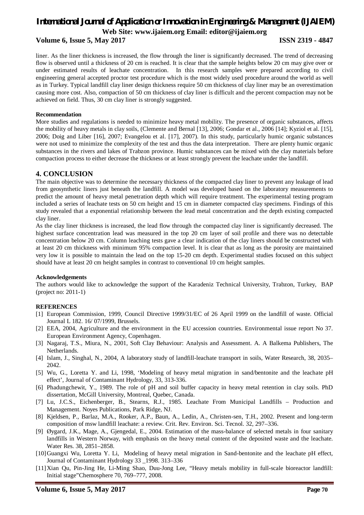#### **Volume 6, Issue 5, May 2017 ISSN 2319 - 4847**

liner. As the liner thickness is increased, the flow through the liner is significantly decreased. The trend of decreasing flow is observed until a thickness of 20 cm is reached. It is clear that the sample heights below 20 cm may give over or under estimated results of leachate concentration. In this research samples were prepared according to civil engineering general accepted proctor test procedure which is the most widely used procedure around the world as well as in Turkey. Typical landfill clay liner design thickness require 50 cm thickness of clay liner may be an overestimation causing more cost. Also, compaction of 50 cm thickness of clay liner is difficult and the percent compaction may not be achieved on field. Thus, 30 cm clay liner is strongly suggested.

#### **Recommendation**

More studies and regulations is needed to minimize heavy metal mobility. The presence of organic substances, affects the mobility of heavy metals in clay soils, (Clemente and Bernal [13], 2006; Gondar et al., 2006 [14]; Kyziol et al. [15], 2006; Doig and Liber [16], 2007; Evangelou et al. [17], 2007). In this study, particularly humic organic substances were not used to minimize the complexity of the test and thus the data interpretation. There are plenty humic organic substances in the rivers and lakes of Trabzon province. Humic substances can be mixed with the clay materials before compaction process to either decrease the thickness or at least strongly prevent the leachate under the landfill.

#### **4. CONCLUSION**

The main objective was to determine the necessary thickness of the compacted clay liner to prevent any leakage of lead from geosynthetic liners just beneath the landfill. A model was developed based on the laboratory measurements to predict the amount of heavy metal penetration depth which will require treatment. The experimental testing program included a series of leachate tests on 50 cm height and 15 cm in diameter compacted clay specimens. Findings of this study revealed that a exponential relationship between the lead metal concentration and the depth existing compacted clay liner.

As the clay liner thickness is increased, the lead flow through the compacted clay liner is significantly decreased. The highest surface concentration lead was measured in the top 20 cm layer of soil profile and there was no detectable concentration below 20 cm. Column leaching tests gave a clear indication of the clay liners should be constructed with at least 20 cm thickness with minimum 95% compaction level. It is clear that as long as the porosity are maintained very low it is possible to maintain the lead on the top 15-20 cm depth. Experimental studies focused on this subject should have at least 20 cm height samples in contrast to conventional 10 cm height samples.

#### **Acknowledgements**

The authors would like to acknowledge the support of the Karadeniz Technical University, Trabzon, Turkey, BAP (project no: 2011-1)

#### **REFERENCES**

- [1] European Commission, 1999, Council Directive 1999/31/EC of 26 April 1999 on the landfill of waste. Official Journal L 182. 16/ 07/1999, Brussels.
- [2] EEA, 2004, Agriculture and the environment in the EU accession countries. Environmental issue report No 37. European Environment Agency, Copenhagen.
- [3] Nagaraj, T.S., Miura, N., 2001, Soft Clay Behaviour: Analysis and Assessment. A. A Balkema Publishers, The Netherlands.
- [4] Islam, J., Singhal, N., 2004, A laboratory study of landfill-leachate transport in soils, Water Research, 38, 2035– 2042.
- [5] Wu, G., Loretta Y. and Li, 1998, 'Modeling of heavy metal migration in sand/bentonite and the leachate pH effect', Journal of Contaminant Hydrology, 33, 313-336.
- [6] Phadungchewit, Y., 1989. The role of pH and soil buffer capacity in heavy metal retention in clay soils. PhD dissertation, McGill University, Montreal, Quebec, Canada.
- [7] Lu, J.C.S., Eichenberger, B., Stearns, R.J., 1985. Leachate From Municipal Landfills Production and Management. Noyes Publications, Park Ridge, NJ.
- [8] Kjeldsen, P., Barlaz, M.A., Rooker, A.P., Baun, A., Ledin, A., Christen-sen, T.H., 2002. Present and long-term composition of msw landfill leachate: a review. Crit. Rev. Environ. Sci. Tecnol. 32, 297–336.
- [9] Øygard, J.K., Mage, A., Gjengedal, E., 2004. Estimation of the mass-balance of selected metals in four sanitary landfills in Western Norway, with emphasis on the heavy metal content of the deposited waste and the leachate. Water Res. 38, 2851–2858.
- [10]Guangxi Wu, Loretta Y. Li, Modeling of heavy metal migration in Sand-bentonite and the leachate pH effect, Journal of Contaminant Hydrology 33 \_1998. 313–336
- [11]Xian Qu, Pin-Jing He, Li-Ming Shao, Duu-Jong Lee, "Heavy metals mobility in full-scale bioreactor landfill: Initial stage"Chemosphere 70, 769–777, 2008.